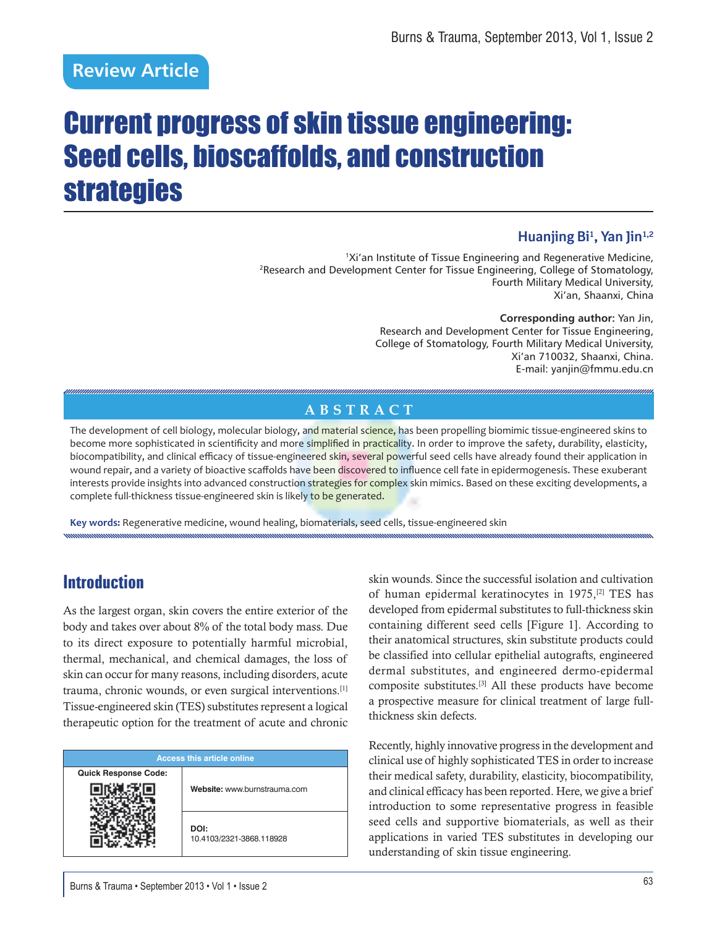# **Review Article**

# Current progress of skin tissue engineering: Seed cells, bioscaffolds, and construction strategies

### **Huanjing Bi1 , Yan Jin1,2**

1Xi'an Institute of Tissue Engineering and Regenerative Medicine, 2Research and Development Center for Tissue Engineering, College of Stomatology, Fourth Military Medical University, Xi'an, Shaanxi, China

**Corresponding author:** Yan Jin, Research and Development Center for Tissue Engineering, College of Stomatology, Fourth Military Medical University, Xi'an 710032, Shaanxi, China. E-mail: yanjin@fmmu.edu.cn

### **ABSTRACT**

The development of cell biology, molecular biology, and material science, has been propelling biomimic tissue-engineered skins to become more sophisticated in scientificity and more simplified in practicality. In order to improve the safety, durability, elasticity, biocompatibility, and clinical efficacy of tissue-engineered skin, several powerful seed cells have already found their application in wound repair, and a variety of bioactive scaffolds have been discovered to influence cell fate in epidermogenesis. These exuberant interests provide insights into advanced construction strategies for complex skin mimics. Based on these exciting developments, a complete full-thickness tissue-engineered skin is likely to be generated.

**Key words:** Regenerative medicine, wound healing, biomaterials, seed cells, tissue-engineered skin

# **Introduction**

As the largest organ, skin covers the entire exterior of the body and takes over about 8% of the total body mass. Due to its direct exposure to potentially harmful microbial, thermal, mechanical, and chemical damages, the loss of skin can occur for many reasons, including disorders, acute trauma, chronic wounds, or even surgical interventions.[1] Tissue-engineered skin (TES) substitutes represent a logical therapeutic option for the treatment of acute and chronic

| <b>Access this article online</b> |                                  |  |  |  |  |  |
|-----------------------------------|----------------------------------|--|--|--|--|--|
| <b>Quick Response Code:</b>       |                                  |  |  |  |  |  |
|                                   | Website: www.burnstrauma.com     |  |  |  |  |  |
|                                   | DOI:<br>10.4103/2321-3868.118928 |  |  |  |  |  |

skin wounds. Since the successful isolation and cultivation of human epidermal keratinocytes in 1975,[2] TES has developed from epidermal substitutes to full-thickness skin containing different seed cells [Figure 1]. According to their anatomical structures, skin substitute products could be classified into cellular epithelial autografts, engineered dermal substitutes, and engineered dermo-epidermal composite substitutes.[3] All these products have become a prospective measure for clinical treatment of large fullthickness skin defects.

Recently, highly innovative progress in the development and clinical use of highly sophisticated TES in order to increase their medical safety, durability, elasticity, biocompatibility, and clinical efficacy has been reported. Here, we give a brief introduction to some representative progress in feasible seed cells and supportive biomaterials, as well as their applications in varied TES substitutes in developing our understanding of skin tissue engineering.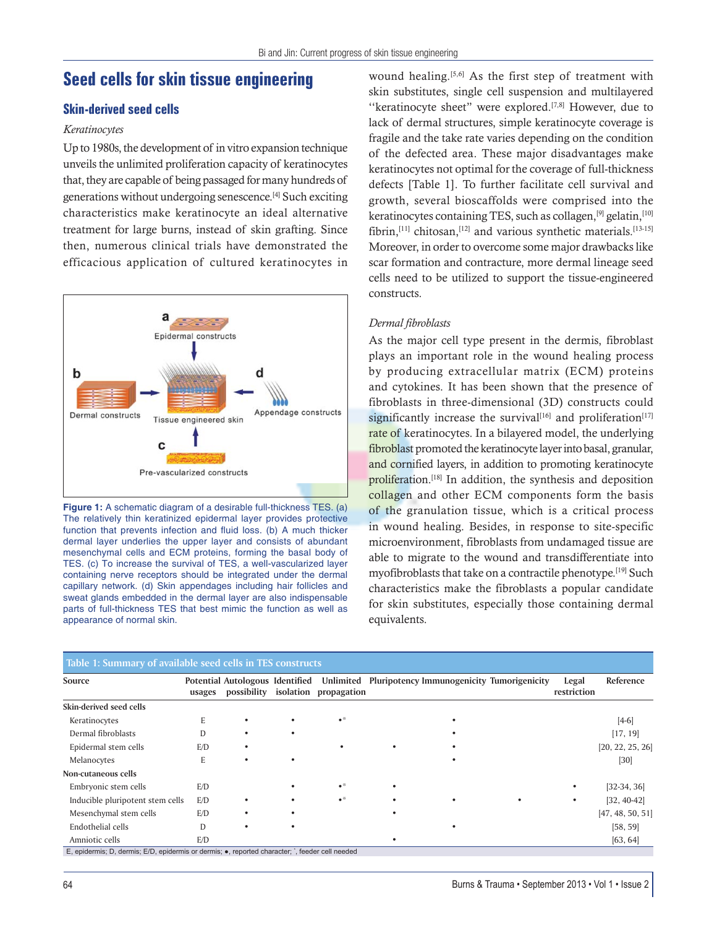### **Seed cells for skin tissue engineering**

### **Skin-derived seed cells**

### *Keratinocytes*

Up to 1980s, the development of in vitro expansion technique unveils the unlimited proliferation capacity of keratinocytes that, they are capable of being passaged for many hundreds of generations without undergoing senescence.[4] Such exciting characteristics make keratinocyte an ideal alternative treatment for large burns, instead of skin grafting. Since then, numerous clinical trials have demonstrated the efficacious application of cultured keratinocytes in



**Figure 1:** A schematic diagram of a desirable full-thickness TES. (a) The relatively thin keratinized epidermal layer provides protective function that prevents infection and fluid loss. (b) A much thicker dermal layer underlies the upper layer and consists of abundant mesenchymal cells and ECM proteins, forming the basal body of TES. (c) To increase the survival of TES, a well-vascularized layer containing nerve receptors should be integrated under the dermal capillary network. (d) Skin appendages including hair follicles and sweat glands embedded in the dermal layer are also indispensable parts of full-thickness TES that best mimic the function as well as appearance of normal skin.

wound healing.<sup>[5,6]</sup> As the first step of treatment with skin substitutes, single cell suspension and multilayered ''keratinocyte sheet" were explored.[7,8] However, due to lack of dermal structures, simple keratinocyte coverage is fragile and the take rate varies depending on the condition of the defected area. These major disadvantages make keratinocytes not optimal for the coverage of full-thickness defects [Table 1]. To further facilitate cell survival and growth, several bioscaffolds were comprised into the keratinocytes containing TES, such as collagen, $[9]$  gelatin, $[10]$ fibrin,<sup>[11]</sup> chitosan,<sup>[12]</sup> and various synthetic materials.<sup>[13-15]</sup> Moreover, in order to overcome some major drawbacks like scar formation and contracture, more dermal lineage seed cells need to be utilized to support the tissue-engineered constructs.

### *Dermal fibroblasts*

As the major cell type present in the dermis, fibroblast plays an important role in the wound healing process by producing extracellular matrix (ECM) proteins and cytokines. It has been shown that the presence of fibroblasts in three-dimensional (3D) constructs could significantly increase the survival<sup>[16]</sup> and proliferation<sup>[17]</sup> rate of keratinocytes. In a bilayered model, the underlying fibroblast promoted the keratinocyte layer into basal, granular, and cornified layers, in addition to promoting keratinocyte proliferation.[18] In addition, the synthesis and deposition collagen and other ECM components form the basis of the granulation tissue, which is a critical process in wound healing. Besides, in response to site-specific microenvironment, fibroblasts from undamaged tissue are able to migrate to the wound and transdifferentiate into myofibroblasts that take on a contractile phenotype.<sup>[19]</sup> Such characteristics make the fibroblasts a popular candidate for skin substitutes, especially those containing dermal equivalents.

| Table 1: Summary of available seed cells in TES constructs                                               |        |                                                |           |                          |  |                                            |  |                      |                  |  |  |
|----------------------------------------------------------------------------------------------------------|--------|------------------------------------------------|-----------|--------------------------|--|--------------------------------------------|--|----------------------|------------------|--|--|
| Source                                                                                                   | usages | Potential Autologous Identified<br>possibility | isolation | Unlimited<br>propagation |  | Pluripotency Immunogenicity Tumorigenicity |  | Legal<br>restriction | Reference        |  |  |
| Skin-derived seed cells                                                                                  |        |                                                |           |                          |  |                                            |  |                      |                  |  |  |
| Keratinocytes                                                                                            | E      |                                                |           | $\bullet$                |  |                                            |  |                      | $[4-6]$          |  |  |
| Dermal fibroblasts                                                                                       | D      |                                                |           |                          |  |                                            |  |                      | [17, 19]         |  |  |
| Epidermal stem cells                                                                                     | E/D    |                                                |           |                          |  |                                            |  |                      | [20, 22, 25, 26] |  |  |
| Melanocytes                                                                                              | E      |                                                |           |                          |  |                                            |  |                      | [30]             |  |  |
| Non-cutaneous cells                                                                                      |        |                                                |           |                          |  |                                            |  |                      |                  |  |  |
| Embryonic stem cells                                                                                     | E/D    |                                                |           | $\bullet$                |  |                                            |  |                      | $[32-34, 36]$    |  |  |
| Inducible pluripotent stem cells                                                                         | E/D    | ٠                                              |           | $\bullet$                |  |                                            |  |                      | $[32, 40-42]$    |  |  |
| Mesenchymal stem cells                                                                                   | E/D    |                                                |           |                          |  |                                            |  |                      | [47, 48, 50, 51] |  |  |
| Endothelial cells                                                                                        | D      |                                                |           |                          |  |                                            |  |                      | [58, 59]         |  |  |
| Amniotic cells                                                                                           | E/D    |                                                |           |                          |  |                                            |  |                      | [63, 64]         |  |  |
| E, epidermis; D, dermis; E/D, epidermis or dermis; $\bullet$ , reported character; `, feeder cell needed |        |                                                |           |                          |  |                                            |  |                      |                  |  |  |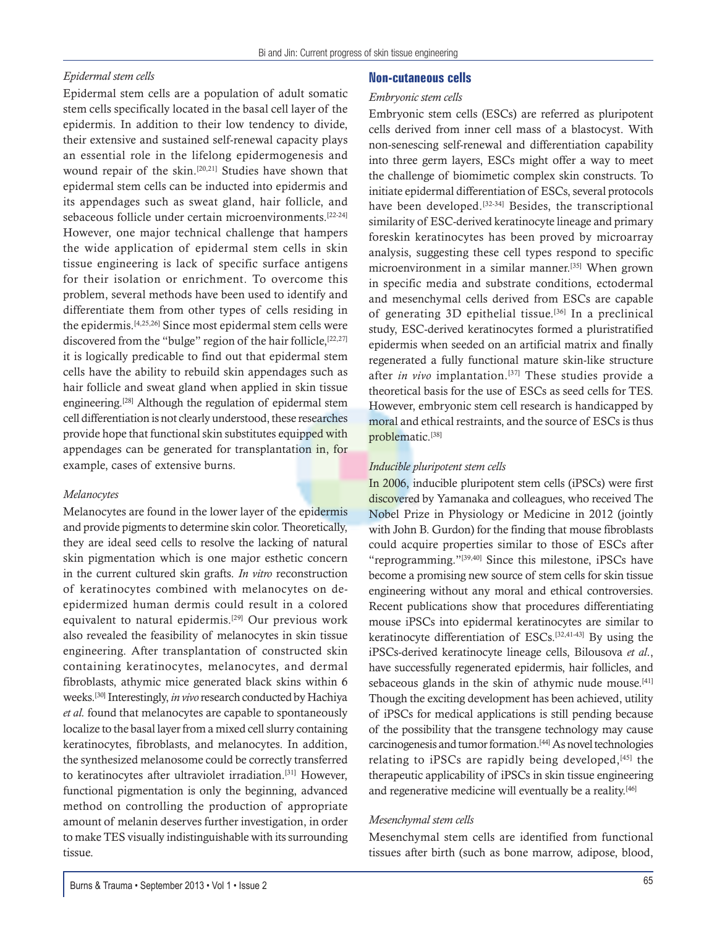### *Epidermal stem cells*

Epidermal stem cells are a population of adult somatic stem cells specifically located in the basal cell layer of the epidermis. In addition to their low tendency to divide, their extensive and sustained self-renewal capacity plays an essential role in the lifelong epidermogenesis and wound repair of the skin.[20,21] Studies have shown that epidermal stem cells can be inducted into epidermis and its appendages such as sweat gland, hair follicle, and sebaceous follicle under certain microenvironments.[22-24] However, one major technical challenge that hampers the wide application of epidermal stem cells in skin tissue engineering is lack of specific surface antigens for their isolation or enrichment. To overcome this problem, several methods have been used to identify and differentiate them from other types of cells residing in the epidermis.[4,25,26] Since most epidermal stem cells were discovered from the "bulge" region of the hair follicle, [22,27] it is logically predicable to find out that epidermal stem cells have the ability to rebuild skin appendages such as hair follicle and sweat gland when applied in skin tissue engineering.[28] Although the regulation of epidermal stem cell differentiation is not clearly understood, these researches provide hope that functional skin substitutes equipped with appendages can be generated for transplantation in, for example, cases of extensive burns.

### *Melanocytes*

Melanocytes are found in the lower layer of the epidermis and provide pigments to determine skin color. Theoretically, they are ideal seed cells to resolve the lacking of natural skin pigmentation which is one major esthetic concern in the current cultured skin grafts. *In vitro* reconstruction of keratinocytes combined with melanocytes on deepidermized human dermis could result in a colored equivalent to natural epidermis.<sup>[29]</sup> Our previous work also revealed the feasibility of melanocytes in skin tissue engineering. After transplantation of constructed skin containing keratinocytes, melanocytes, and dermal fibroblasts, athymic mice generated black skins within 6 weeks.[30] Interestingly, *in vivo* research conducted by Hachiya *et al.* found that melanocytes are capable to spontaneously localize to the basal layer from a mixed cell slurry containing keratinocytes, fibroblasts, and melanocytes. In addition, the synthesized melanosome could be correctly transferred to keratinocytes after ultraviolet irradiation.[31] However, functional pigmentation is only the beginning, advanced method on controlling the production of appropriate amount of melanin deserves further investigation, in order to make TES visually indistinguishable with its surrounding tissue.

### **Non-cutaneous cells**

#### *Embryonic stem cells*

Embryonic stem cells (ESCs) are referred as pluripotent cells derived from inner cell mass of a blastocyst. With non-senescing self-renewal and differentiation capability into three germ layers, ESCs might offer a way to meet the challenge of biomimetic complex skin constructs. To initiate epidermal differentiation of ESCs, several protocols have been developed.<sup>[32-34]</sup> Besides, the transcriptional similarity of ESC-derived keratinocyte lineage and primary foreskin keratinocytes has been proved by microarray analysis, suggesting these cell types respond to specific microenvironment in a similar manner.[35] When grown in specific media and substrate conditions, ectodermal and mesenchymal cells derived from ESCs are capable of generating 3D epithelial tissue.[36] In a preclinical study, ESC-derived keratinocytes formed a pluristratified epidermis when seeded on an artificial matrix and finally regenerated a fully functional mature skin-like structure after *in vivo* implantation.<sup>[37]</sup> These studies provide a theoretical basis for the use of ESCs as seed cells for TES. However, embryonic stem cell research is handicapped by moral and ethical restraints, and the source of ESCs is thus problematic.<sup>[38]</sup>

#### *Inducible pluripotent stem cells*

In 2006, inducible pluripotent stem cells (iPSCs) were first discovered by Yamanaka and colleagues, who received The Nobel Prize in Physiology or Medicine in 2012 (jointly with John B. Gurdon) for the finding that mouse fibroblasts could acquire properties similar to those of ESCs after "reprogramming."[39,40] Since this milestone, iPSCs have become a promising new source of stem cells for skin tissue engineering without any moral and ethical controversies. Recent publications show that procedures differentiating mouse iPSCs into epidermal keratinocytes are similar to keratinocyte differentiation of ESCs.[32,41-43] By using the iPSCs-derived keratinocyte lineage cells, Bilousova *et al*., have successfully regenerated epidermis, hair follicles, and sebaceous glands in the skin of athymic nude mouse.<sup>[41]</sup> Though the exciting development has been achieved, utility of iPSCs for medical applications is still pending because of the possibility that the transgene technology may cause carcinogenesis and tumor formation.[44] As novel technologies relating to iPSCs are rapidly being developed, [45] the therapeutic applicability of iPSCs in skin tissue engineering and regenerative medicine will eventually be a reality.<sup>[46]</sup>

#### *Mesenchymal stem cells*

Mesenchymal stem cells are identified from functional tissues after birth (such as bone marrow, adipose, blood,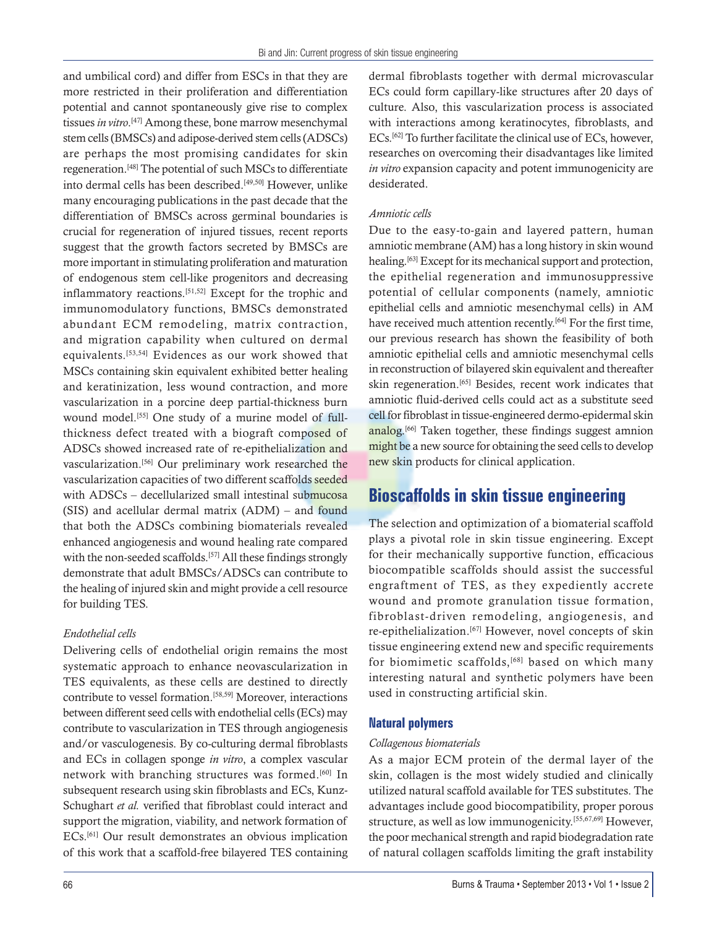and umbilical cord) and differ from ESCs in that they are more restricted in their proliferation and differentiation potential and cannot spontaneously give rise to complex tissues *in vitro*. [47] Among these, bone marrow mesenchymal stem cells (BMSCs) and adipose-derived stem cells (ADSCs) are perhaps the most promising candidates for skin regeneration.[48] The potential of such MSCs to differentiate into dermal cells has been described.[49,50] However, unlike many encouraging publications in the past decade that the differentiation of BMSCs across germinal boundaries is crucial for regeneration of injured tissues, recent reports suggest that the growth factors secreted by BMSCs are more important in stimulating proliferation and maturation of endogenous stem cell-like progenitors and decreasing inflammatory reactions.[51,52] Except for the trophic and immunomodulatory functions, BMSCs demonstrated abundant ECM remodeling, matrix contraction, and migration capability when cultured on dermal equivalents.[53,54] Evidences as our work showed that MSCs containing skin equivalent exhibited better healing and keratinization, less wound contraction, and more vascularization in a porcine deep partial-thickness burn wound model.<sup>[55]</sup> One study of a murine model of fullthickness defect treated with a biograft composed of ADSCs showed increased rate of re-epithelialization and vascularization.[56] Our preliminary work researched the vascularization capacities of two different scaffolds seeded with ADSCs – decellularized small intestinal submucosa (SIS) and acellular dermal matrix (ADM) – and found that both the ADSCs combining biomaterials revealed enhanced angiogenesis and wound healing rate compared with the non-seeded scaffolds.<sup>[57]</sup> All these findings strongly demonstrate that adult BMSCs/ADSCs can contribute to the healing of injured skin and might provide a cell resource for building TES.

### *Endothelial cells*

Delivering cells of endothelial origin remains the most systematic approach to enhance neovascularization in TES equivalents, as these cells are destined to directly contribute to vessel formation.[58,59] Moreover, interactions between different seed cells with endothelial cells (ECs) may contribute to vascularization in TES through angiogenesis and/or vasculogenesis. By co-culturing dermal fibroblasts and ECs in collagen sponge *in vitro*, a complex vascular network with branching structures was formed.<sup>[60]</sup> In subsequent research using skin fibroblasts and ECs, Kunz-Schughart *et al.* verified that fibroblast could interact and support the migration, viability, and network formation of ECs.[61] Our result demonstrates an obvious implication of this work that a scaffold-free bilayered TES containing dermal fibroblasts together with dermal microvascular ECs could form capillary-like structures after 20 days of culture. Also, this vascularization process is associated with interactions among keratinocytes, fibroblasts, and ECs.[62] To further facilitate the clinical use of ECs, however, researches on overcoming their disadvantages like limited *in vitro* expansion capacity and potent immunogenicity are desiderated.

### *Amniotic cells*

Due to the easy-to-gain and layered pattern, human amniotic membrane (AM) has a long history in skin wound healing.<sup>[63]</sup> Except for its mechanical support and protection, the epithelial regeneration and immunosuppressive potential of cellular components (namely, amniotic epithelial cells and amniotic mesenchymal cells) in AM have received much attention recently.<sup>[64]</sup> For the first time, our previous research has shown the feasibility of both amniotic epithelial cells and amniotic mesenchymal cells in reconstruction of bilayered skin equivalent and thereafter skin regeneration.<sup>[65]</sup> Besides, recent work indicates that amniotic fluid-derived cells could act as a substitute seed cell for fibroblast in tissue-engineered dermo-epidermal skin analog.<sup>[66]</sup> Taken together, these findings suggest amnion might be a new source for obtaining the seed cells to develop new skin products for clinical application.

# **Bioscaffolds in skin tissue engineering**

The selection and optimization of a biomaterial scaffold plays a pivotal role in skin tissue engineering. Except for their mechanically supportive function, efficacious biocompatible scaffolds should assist the successful engraftment of TES, as they expediently accrete wound and promote granulation tissue formation, fibroblast-driven remodeling, angiogenesis, and re-epithelialization.[67] However, novel concepts of skin tissue engineering extend new and specific requirements for biomimetic scaffolds,  $[68]$  based on which many interesting natural and synthetic polymers have been used in constructing artificial skin.

### **Natural polymers**

### *Collagenous biomaterials*

As a major ECM protein of the dermal layer of the skin, collagen is the most widely studied and clinically utilized natural scaffold available for TES substitutes. The advantages include good biocompatibility, proper porous structure, as well as low immunogenicity.[55,67,69] However, the poor mechanical strength and rapid biodegradation rate of natural collagen scaffolds limiting the graft instability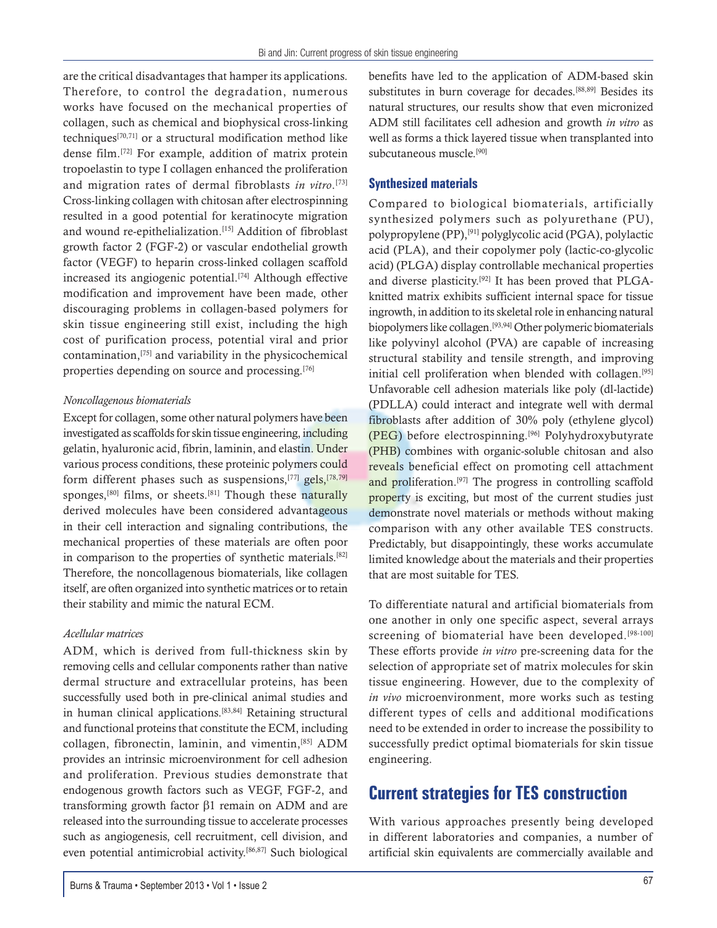are the critical disadvantages that hamper its applications. Therefore, to control the degradation, numerous works have focused on the mechanical properties of collagen, such as chemical and biophysical cross-linking techniques[70,71] or a structural modification method like dense film.[72] For example, addition of matrix protein tropoelastin to type I collagen enhanced the proliferation and migration rates of dermal fibroblasts *in vitro*. [73] Cross-linking collagen with chitosan after electrospinning resulted in a good potential for keratinocyte migration and wound re-epithelialization.[15] Addition of fibroblast growth factor 2 (FGF-2) or vascular endothelial growth factor (VEGF) to heparin cross-linked collagen scaffold increased its angiogenic potential.[74] Although effective modification and improvement have been made, other discouraging problems in collagen-based polymers for skin tissue engineering still exist, including the high cost of purification process, potential viral and prior contamination,[75] and variability in the physicochemical properties depending on source and processing.[76]

### *Noncollagenous biomaterials*

Except for collagen, some other natural polymers have been investigated as scaffolds for skin tissue engineering, including gelatin, hyaluronic acid, fibrin, laminin, and elastin. Under various process conditions, these proteinic polymers could form different phases such as suspensions,<sup>[77]</sup> gels,<sup>[78,79]</sup> sponges,<sup>[80]</sup> films, or sheets.<sup>[81]</sup> Though these naturally derived molecules have been considered advantageous in their cell interaction and signaling contributions, the mechanical properties of these materials are often poor in comparison to the properties of synthetic materials.[82] Therefore, the noncollagenous biomaterials, like collagen itself, are often organized into synthetic matrices or to retain their stability and mimic the natural ECM.

### *Acellular matrices*

ADM, which is derived from full-thickness skin by removing cells and cellular components rather than native dermal structure and extracellular proteins, has been successfully used both in pre-clinical animal studies and in human clinical applications.[83,84] Retaining structural and functional proteins that constitute the ECM, including collagen, fibronectin, laminin, and vimentin,[85] ADM provides an intrinsic microenvironment for cell adhesion and proliferation. Previous studies demonstrate that endogenous growth factors such as VEGF, FGF-2, and transforming growth factor  $\beta$ 1 remain on ADM and are released into the surrounding tissue to accelerate processes such as angiogenesis, cell recruitment, cell division, and even potential antimicrobial activity.[86,87] Such biological

benefits have led to the application of ADM-based skin substitutes in burn coverage for decades.[88,89] Besides its natural structures, our results show that even micronized ADM still facilitates cell adhesion and growth *in vitro* as well as forms a thick layered tissue when transplanted into subcutaneous muscle.<sup>[90]</sup>

### **Synthesized materials**

Compared to biological biomaterials, artificially synthesized polymers such as polyurethane (PU), polypropylene (PP),[91] polyglycolic acid (PGA), polylactic acid (PLA), and their copolymer poly (lactic-co-glycolic acid) (PLGA) display controllable mechanical properties and diverse plasticity.[92] It has been proved that PLGAknitted matrix exhibits sufficient internal space for tissue ingrowth, in addition to its skeletal role in enhancing natural biopolymers like collagen.[93,94] Other polymeric biomaterials like polyvinyl alcohol (PVA) are capable of increasing structural stability and tensile strength, and improving initial cell proliferation when blended with collagen.[95] Unfavorable cell adhesion materials like poly (dl-lactide) (PDLLA) could interact and integrate well with dermal fibroblasts after addition of 30% poly (ethylene glycol) (PEG) before electrospinning.[96] Polyhydroxybutyrate (PHB) combines with organic-soluble chitosan and also reveals beneficial effect on promoting cell attachment and proliferation.<sup>[97]</sup> The progress in controlling scaffold property is exciting, but most of the current studies just demonstrate novel materials or methods without making comparison with any other available TES constructs. Predictably, but disappointingly, these works accumulate limited knowledge about the materials and their properties that are most suitable for TES.

To differentiate natural and artificial biomaterials from one another in only one specific aspect, several arrays screening of biomaterial have been developed.<sup>[98-100]</sup> These efforts provide *in vitro* pre-screening data for the selection of appropriate set of matrix molecules for skin tissue engineering. However, due to the complexity of *in vivo* microenvironment, more works such as testing different types of cells and additional modifications need to be extended in order to increase the possibility to successfully predict optimal biomaterials for skin tissue engineering.

# **Current strategies for TES construction**

With various approaches presently being developed in different laboratories and companies, a number of artificial skin equivalents are commercially available and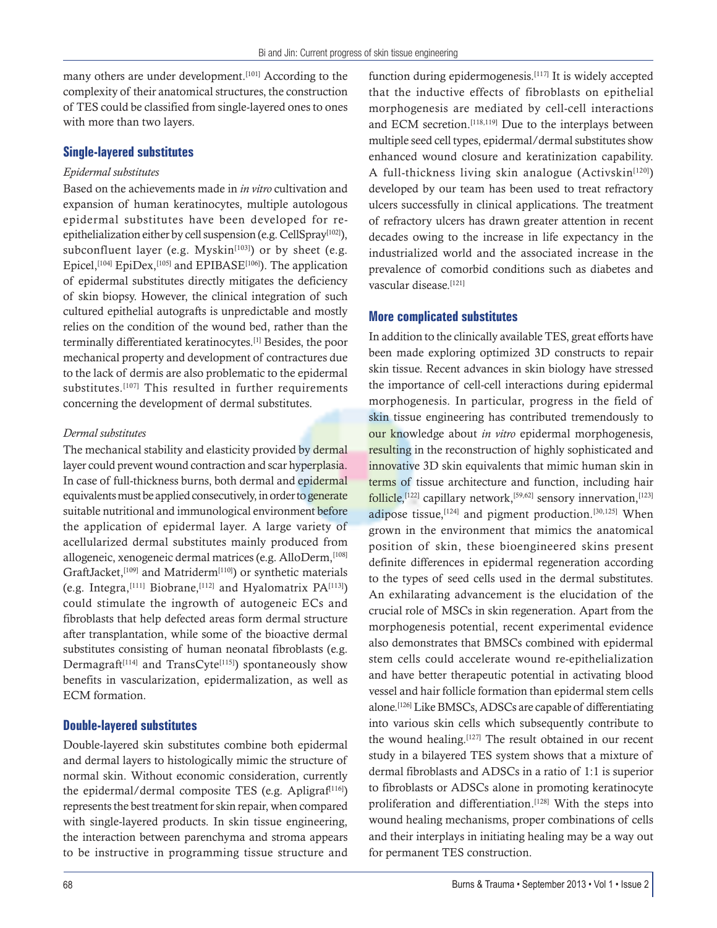many others are under development.<sup>[101]</sup> According to the complexity of their anatomical structures, the construction of TES could be classified from single-layered ones to ones with more than two layers.

### **Single-layered substitutes**

### *Epidermal substitutes*

Based on the achievements made in *in vitro* cultivation and expansion of human keratinocytes, multiple autologous epidermal substitutes have been developed for reepithelialization either by cell suspension (e.g. CellSpray<sup>[102]</sup>), subconfluent layer (e.g. Myskin $[103]$ ) or by sheet (e.g. Epicel,<sup>[104]</sup> EpiDex,<sup>[105]</sup> and EPIBASE<sup>[106]</sup>). The application of epidermal substitutes directly mitigates the deficiency of skin biopsy. However, the clinical integration of such cultured epithelial autografts is unpredictable and mostly relies on the condition of the wound bed, rather than the terminally differentiated keratinocytes.[1] Besides, the poor mechanical property and development of contractures due to the lack of dermis are also problematic to the epidermal substitutes.<sup>[107]</sup> This resulted in further requirements concerning the development of dermal substitutes.

### *Dermal substitutes*

The mechanical stability and elasticity provided by dermal layer could prevent wound contraction and scar hyperplasia. In case of full-thickness burns, both dermal and epidermal equivalents must be applied consecutively, in order to generate suitable nutritional and immunological environment before the application of epidermal layer. A large variety of acellularized dermal substitutes mainly produced from allogeneic, xenogeneic dermal matrices (e.g. AlloDerm, [108] GraftJacket,<sup>[109]</sup> and Matriderm<sup>[110]</sup>) or synthetic materials (e.g. Integra, [111] Biobrane, [112] and Hyalomatrix  $PA$ [113]) could stimulate the ingrowth of autogeneic ECs and fibroblasts that help defected areas form dermal structure after transplantation, while some of the bioactive dermal substitutes consisting of human neonatal fibroblasts (e.g. Dermagraft<sup>[114]</sup> and TransCyte<sup>[115]</sup>) spontaneously show benefits in vascularization, epidermalization, as well as ECM formation.

### **Double-layered substitutes**

Double-layered skin substitutes combine both epidermal and dermal layers to histologically mimic the structure of normal skin. Without economic consideration, currently the epidermal/dermal composite TES (e.g. Apligraf<sup>[116]</sup>) represents the best treatment for skin repair, when compared with single-layered products. In skin tissue engineering, the interaction between parenchyma and stroma appears to be instructive in programming tissue structure and function during epidermogenesis.<sup>[117]</sup> It is widely accepted that the inductive effects of fibroblasts on epithelial morphogenesis are mediated by cell-cell interactions and ECM secretion.[118,119] Due to the interplays between multiple seed cell types, epidermal/dermal substitutes show enhanced wound closure and keratinization capability. A full-thickness living skin analogue (Activskin<sup>[120]</sup>) developed by our team has been used to treat refractory ulcers successfully in clinical applications. The treatment of refractory ulcers has drawn greater attention in recent decades owing to the increase in life expectancy in the industrialized world and the associated increase in the prevalence of comorbid conditions such as diabetes and vascular disease.<sup>[121]</sup>

### **More complicated substitutes**

In addition to the clinically available TES, great efforts have been made exploring optimized 3D constructs to repair skin tissue. Recent advances in skin biology have stressed the importance of cell-cell interactions during epidermal morphogenesis. In particular, progress in the field of skin tissue engineering has contributed tremendously to our knowledge about *in vitro* epidermal morphogenesis, resulting in the reconstruction of highly sophisticated and innovative 3D skin equivalents that mimic human skin in terms of tissue architecture and function, including hair follicle,<sup>[122]</sup> capillary network,<sup>[59,62]</sup> sensory innervation,<sup>[123]</sup> adipose tissue,  $[124]$  and pigment production.  $[30,125]$  When grown in the environment that mimics the anatomical position of skin, these bioengineered skins present definite differences in epidermal regeneration according to the types of seed cells used in the dermal substitutes. An exhilarating advancement is the elucidation of the crucial role of MSCs in skin regeneration. Apart from the morphogenesis potential, recent experimental evidence also demonstrates that BMSCs combined with epidermal stem cells could accelerate wound re-epithelialization and have better therapeutic potential in activating blood vessel and hair follicle formation than epidermal stem cells alone.<sup>[126]</sup> Like BMSCs, ADSCs are capable of differentiating into various skin cells which subsequently contribute to the wound healing.<sup>[127]</sup> The result obtained in our recent study in a bilayered TES system shows that a mixture of dermal fibroblasts and ADSCs in a ratio of 1:1 is superior to fibroblasts or ADSCs alone in promoting keratinocyte proliferation and differentiation.<sup>[128]</sup> With the steps into wound healing mechanisms, proper combinations of cells and their interplays in initiating healing may be a way out for permanent TES construction.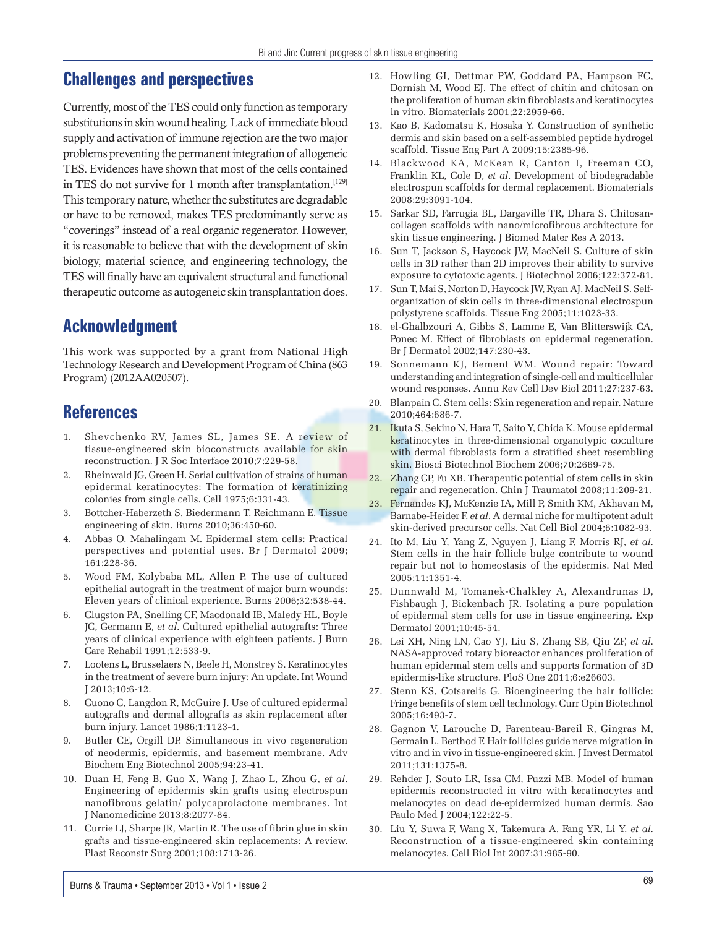# **Challenges and perspectives**

Currently, most of the TES could only function as temporary substitutions in skin wound healing. Lack of immediate blood supply and activation of immune rejection are the two major problems preventing the permanent integration of allogeneic TES. Evidences have shown that most of the cells contained in TES do not survive for 1 month after transplantation.<sup>[129]</sup> This temporary nature, whether the substitutes are degradable or have to be removed, makes TES predominantly serve as "coverings" instead of a real organic regenerator. However, it is reasonable to believe that with the development of skin biology, material science, and engineering technology, the TES will finally have an equivalent structural and functional therapeutic outcome as autogeneic skin transplantation does.

# **Acknowledgment**

This work was supported by a grant from National High Technology Research and Development Program of China (863 Program) (2012AA020507).

# **References**

- 1. Shevchenko RV, James SL, James SE. A review of tissue-engineered skin bioconstructs available for skin reconstruction. J R Soc Interface 2010;7:229-58.
- 2. Rheinwald JG, Green H. Serial cultivation of strains of human epidermal keratinocytes: The formation of keratinizing colonies from single cells. Cell 1975;6:331-43.
- 3. Bottcher-Haberzeth S, Biedermann T, Reichmann E. Tissue engineering of skin. Burns 2010;36:450-60.
- 4. Abbas O, Mahalingam M. Epidermal stem cells: Practical perspectives and potential uses. Br J Dermatol 2009; 161:228-36.
- 5. Wood FM, Kolybaba ML, Allen P. The use of cultured epithelial autograft in the treatment of major burn wounds: Eleven years of clinical experience. Burns 2006;32:538-44.
- 6. Clugston PA, Snelling CF, Macdonald IB, Maledy HL, Boyle JC, Germann E, *et al*. Cultured epithelial autografts: Three years of clinical experience with eighteen patients. J Burn Care Rehabil 1991;12:533-9.
- 7. Lootens L, Brusselaers N, Beele H, Monstrey S. Keratinocytes in the treatment of severe burn injury: An update. Int Wound J 2013;10:6-12.
- 8. Cuono C, Langdon R, McGuire J. Use of cultured epidermal autografts and dermal allografts as skin replacement after burn injury. Lancet 1986;1:1123-4.
- 9. Butler CE, Orgill DP. Simultaneous in vivo regeneration of neodermis, epidermis, and basement membrane. Adv Biochem Eng Biotechnol 2005;94:23-41.
- 10. Duan H, Feng B, Guo X, Wang J, Zhao L, Zhou G, *et al*. Engineering of epidermis skin grafts using electrospun nanofibrous gelatin/ polycaprolactone membranes. Int J Nanomedicine 2013;8:2077-84.
- 11. Currie LJ, Sharpe JR, Martin R. The use of fibrin glue in skin grafts and tissue-engineered skin replacements: A review. Plast Reconstr Surg 2001;108:1713-26.
- 12. Howling GI, Dettmar PW, Goddard PA, Hampson FC, Dornish M, Wood EJ. The effect of chitin and chitosan on the proliferation of human skin fibroblasts and keratinocytes in vitro. Biomaterials 2001;22:2959-66.
- 13. Kao B, Kadomatsu K, Hosaka Y. Construction of synthetic dermis and skin based on a self-assembled peptide hydrogel scaffold. Tissue Eng Part A 2009;15:2385-96.
- 14. Blackwood KA, McKean R, Canton I, Freeman CO, Franklin KL, Cole D, *et al*. Development of biodegradable electrospun scaffolds for dermal replacement. Biomaterials 2008;29:3091-104.
- 15. Sarkar SD, Farrugia BL, Dargaville TR, Dhara S. Chitosancollagen scaffolds with nano/microfibrous architecture for skin tissue engineering. J Biomed Mater Res A 2013.
- 16. Sun T, Jackson S, Haycock JW, MacNeil S. Culture of skin cells in 3D rather than 2D improves their ability to survive exposure to cytotoxic agents. J Biotechnol 2006;122:372-81.
- 17. Sun T, Mai S, Norton D, Haycock JW, Ryan AJ, MacNeil S. Selforganization of skin cells in three-dimensional electrospun polystyrene scaffolds. Tissue Eng 2005;11:1023-33.
- 18. el-Ghalbzouri A, Gibbs S, Lamme E, Van Blitterswijk CA, Ponec M. Effect of fibroblasts on epidermal regeneration. Br J Dermatol 2002;147:230-43.
- 19. Sonnemann KJ, Bement WM. Wound repair: Toward understanding and integration of single-cell and multicellular wound responses. Annu Rev Cell Dev Biol 2011;27:237-63.
- 20. Blanpain C. Stem cells: Skin regeneration and repair. Nature 2010;464:686-7.
- 21. Ikuta S, Sekino N, Hara T, Saito Y, Chida K. Mouse epidermal keratinocytes in three-dimensional organotypic coculture with dermal fibroblasts form a stratified sheet resembling skin. Biosci Biotechnol Biochem 2006;70:2669-75.
- 22. Zhang CP, Fu XB. Therapeutic potential of stem cells in skin repair and regeneration. Chin J Traumatol 2008;11:209-21.
- 23. Fernandes KJ, McKenzie IA, Mill P, Smith KM, Akhavan M, Barnabe-Heider F, *et al*. A dermal niche for multipotent adult skin-derived precursor cells. Nat Cell Biol 2004;6:1082-93.
- 24. Ito M, Liu Y, Yang Z, Nguyen J, Liang F, Morris RJ, *et al*. Stem cells in the hair follicle bulge contribute to wound repair but not to homeostasis of the epidermis. Nat Med 2005;11:1351-4.
- 25. Dunnwald M, Tomanek-Chalkley A, Alexandrunas D, Fishbaugh J, Bickenbach JR. Isolating a pure population of epidermal stem cells for use in tissue engineering. Exp Dermatol 2001;10:45-54.
- 26. Lei XH, Ning LN, Cao YJ, Liu S, Zhang SB, Qiu ZF, *et al*. NASA-approved rotary bioreactor enhances proliferation of human epidermal stem cells and supports formation of 3D epidermis-like structure. PloS One 2011;6:e26603.
- 27. Stenn KS, Cotsarelis G. Bioengineering the hair follicle: Fringe benefits of stem cell technology. Curr Opin Biotechnol 2005;16:493-7.
- 28. Gagnon V, Larouche D, Parenteau-Bareil R, Gingras M, Germain L, Berthod F. Hair follicles guide nerve migration in vitro and in vivo in tissue-engineered skin. J Invest Dermatol 2011;131:1375-8.
- 29. Rehder J, Souto LR, Issa CM, Puzzi MB. Model of human epidermis reconstructed in vitro with keratinocytes and melanocytes on dead de-epidermized human dermis. Sao Paulo Med J 2004;122:22-5.
- 30. Liu Y, Suwa F, Wang X, Takemura A, Fang YR, Li Y, *et al*. Reconstruction of a tissue-engineered skin containing melanocytes. Cell Biol Int 2007;31:985-90.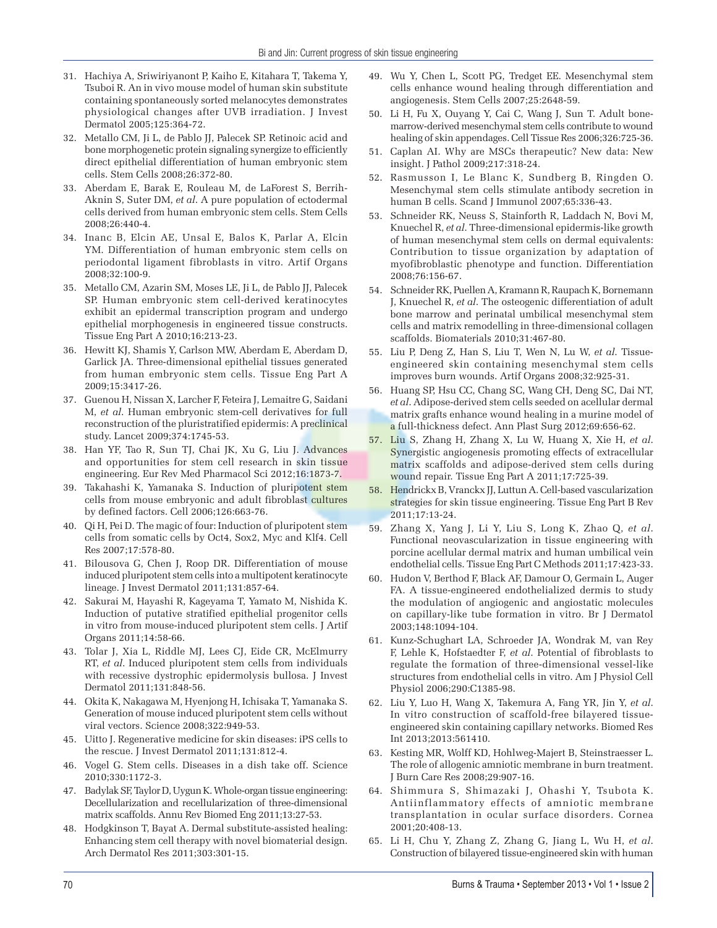- 31. Hachiya A, Sriwiriyanont P, Kaiho E, Kitahara T, Takema Y, Tsuboi R. An in vivo mouse model of human skin substitute containing spontaneously sorted melanocytes demonstrates physiological changes after UVB irradiation. J Invest Dermatol 2005;125:364-72.
- 32. Metallo CM, Ji L, de Pablo JJ, Palecek SP. Retinoic acid and bone morphogenetic protein signaling synergize to efficiently direct epithelial differentiation of human embryonic stem cells. Stem Cells 2008;26:372-80.
- 33. Aberdam E, Barak E, Rouleau M, de LaForest S, Berrih-Aknin S, Suter DM, *et al*. A pure population of ectodermal cells derived from human embryonic stem cells. Stem Cells 2008;26:440-4.
- 34. Inanc B, Elcin AE, Unsal E, Balos K, Parlar A, Elcin YM. Differentiation of human embryonic stem cells on periodontal ligament fibroblasts in vitro. Artif Organs 2008;32:100-9.
- 35. Metallo CM, Azarin SM, Moses LE, Ji L, de Pablo JJ, Palecek SP. Human embryonic stem cell-derived keratinocytes exhibit an epidermal transcription program and undergo epithelial morphogenesis in engineered tissue constructs. Tissue Eng Part A 2010;16:213-23.
- 36. Hewitt KJ, Shamis Y, Carlson MW, Aberdam E, Aberdam D, Garlick JA. Three-dimensional epithelial tissues generated from human embryonic stem cells. Tissue Eng Part A 2009;15:3417-26.
- 37. Guenou H, Nissan X, Larcher F, Feteira J, Lemaitre G, Saidani M, *et al*. Human embryonic stem-cell derivatives for full reconstruction of the pluristratified epidermis: A preclinical study. Lancet 2009;374:1745-53.
- 38. Han YF, Tao R, Sun TJ, Chai JK, Xu G, Liu J. Advances and opportunities for stem cell research in skin tissue engineering. Eur Rev Med Pharmacol Sci 2012;16:1873-7.
- 39. Takahashi K, Yamanaka S. Induction of pluripotent stem cells from mouse embryonic and adult fibroblast cultures by defined factors. Cell 2006;126:663-76.
- 40. Qi H, Pei D. The magic of four: Induction of pluripotent stem cells from somatic cells by Oct4, Sox2, Myc and Klf4. Cell Res 2007;17:578-80.
- 41. Bilousova G, Chen J, Roop DR. Differentiation of mouse induced pluripotent stem cells into a multipotent keratinocyte lineage. J Invest Dermatol 2011;131:857-64.
- 42. Sakurai M, Hayashi R, Kageyama T, Yamato M, Nishida K. Induction of putative stratified epithelial progenitor cells in vitro from mouse-induced pluripotent stem cells. J Artif Organs 2011;14:58-66.
- 43. Tolar J, Xia L, Riddle MJ, Lees CJ, Eide CR, McElmurry RT, *et al*. Induced pluripotent stem cells from individuals with recessive dystrophic epidermolysis bullosa. J Invest Dermatol 2011;131:848-56.
- 44. Okita K, Nakagawa M, Hyenjong H, Ichisaka T, Yamanaka S. Generation of mouse induced pluripotent stem cells without viral vectors. Science 2008;322:949-53.
- 45. Uitto J. Regenerative medicine for skin diseases: iPS cells to the rescue. J Invest Dermatol 2011;131:812-4.
- 46. Vogel G. Stem cells. Diseases in a dish take off. Science 2010;330:1172-3.
- 47. Badylak SF, Taylor D, Uygun K. Whole-organ tissue engineering: Decellularization and recellularization of three-dimensional matrix scaffolds. Annu Rev Biomed Eng 2011;13:27-53.
- 48. Hodgkinson T, Bayat A. Dermal substitute-assisted healing: Enhancing stem cell therapy with novel biomaterial design. Arch Dermatol Res 2011;303:301-15.
- 49. Wu Y, Chen L, Scott PG, Tredget EE. Mesenchymal stem cells enhance wound healing through differentiation and angiogenesis. Stem Cells 2007;25:2648-59.
- 50. Li H, Fu X, Ouyang Y, Cai C, Wang J, Sun T. Adult bonemarrow-derived mesenchymal stem cells contribute to wound healing of skin appendages. Cell Tissue Res 2006;326:725-36.
- 51. Caplan AI. Why are MSCs therapeutic? New data: New insight. J Pathol 2009;217:318-24.
- 52. Rasmusson I, Le Blanc K, Sundberg B, Ringden O. Mesenchymal stem cells stimulate antibody secretion in human B cells. Scand J Immunol 2007;65:336-43.
- 53. Schneider RK, Neuss S, Stainforth R, Laddach N, Bovi M, Knuechel R, *et al*. Three-dimensional epidermis-like growth of human mesenchymal stem cells on dermal equivalents: Contribution to tissue organization by adaptation of myofibroblastic phenotype and function. Differentiation 2008;76:156-67.
- 54. Schneider RK, Puellen A, Kramann R, Raupach K, Bornemann J, Knuechel R, *et al*. The osteogenic differentiation of adult bone marrow and perinatal umbilical mesenchymal stem cells and matrix remodelling in three-dimensional collagen scaffolds. Biomaterials 2010;31:467-80.
- 55. Liu P, Deng Z, Han S, Liu T, Wen N, Lu W, *et al*. Tissueengineered skin containing mesenchymal stem cells improves burn wounds. Artif Organs 2008;32:925-31.
- 56. Huang SP, Hsu CC, Chang SC, Wang CH, Deng SC, Dai NT, *et al*. Adipose-derived stem cells seeded on acellular dermal matrix grafts enhance wound healing in a murine model of a full-thickness defect. Ann Plast Surg 2012;69:656-62.
- 57. Liu S, Zhang H, Zhang X, Lu W, Huang X, Xie H, *et al*. Synergistic angiogenesis promoting effects of extracellular matrix scaffolds and adipose-derived stem cells during wound repair. Tissue Eng Part A 2011;17:725-39.
- 58. Hendrickx B, Vranckx JJ, Luttun A. Cell-based vascularization strategies for skin tissue engineering. Tissue Eng Part B Rev 2011;17:13-24.
- 59. Zhang X, Yang J, Li Y, Liu S, Long K, Zhao Q, *et al*. Functional neovascularization in tissue engineering with porcine acellular dermal matrix and human umbilical vein endothelial cells. Tissue Eng Part C Methods 2011;17:423-33.
- 60. Hudon V, Berthod F, Black AF, Damour O, Germain L, Auger FA. A tissue-engineered endothelialized dermis to study the modulation of angiogenic and angiostatic molecules on capillary-like tube formation in vitro. Br J Dermatol 2003;148:1094-104.
- 61. Kunz-Schughart LA, Schroeder JA, Wondrak M, van Rey F, Lehle K, Hofstaedter F, *et al*. Potential of fibroblasts to regulate the formation of three-dimensional vessel-like structures from endothelial cells in vitro. Am J Physiol Cell Physiol 2006;290:C1385-98.
- 62. Liu Y, Luo H, Wang X, Takemura A, Fang YR, Jin Y, *et al*. In vitro construction of scaffold-free bilayered tissueengineered skin containing capillary networks. Biomed Res Int 2013;2013:561410.
- 63. Kesting MR, Wolff KD, Hohlweg-Majert B, Steinstraesser L. The role of allogenic amniotic membrane in burn treatment. J Burn Care Res 2008;29:907-16.
- 64. Shimmura S, Shimazaki J, Ohashi Y, Tsubota K. Antiinflammatory effects of amniotic membrane transplantation in ocular surface disorders. Cornea 2001;20:408-13.
- 65. Li H, Chu Y, Zhang Z, Zhang G, Jiang L, Wu H, *et al*. Construction of bilayered tissue-engineered skin with human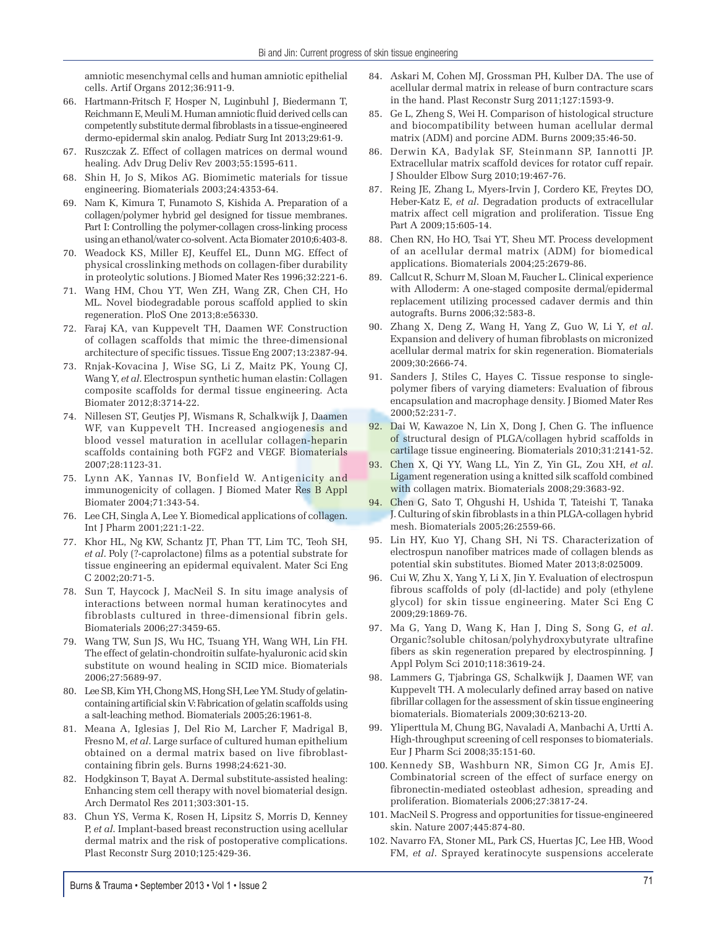amniotic mesenchymal cells and human amniotic epithelial cells. Artif Organs 2012;36:911-9.

- 66. Hartmann-Fritsch F, Hosper N, Luginbuhl J, Biedermann T, Reichmann E, Meuli M. Human amniotic fluid derived cells can competently substitute dermal fibroblasts in a tissue-engineered dermo-epidermal skin analog. Pediatr Surg Int 2013;29:61-9.
- 67. Ruszczak Z. Effect of collagen matrices on dermal wound healing. Adv Drug Deliv Rev 2003;55:1595-611.
- 68. Shin H, Jo S, Mikos AG. Biomimetic materials for tissue engineering. Biomaterials 2003;24:4353-64.
- 69. Nam K, Kimura T, Funamoto S, Kishida A. Preparation of a collagen/polymer hybrid gel designed for tissue membranes. Part I: Controlling the polymer-collagen cross-linking process using an ethanol/water co-solvent. Acta Biomater 2010;6:403-8.
- 70. Weadock KS, Miller EJ, Keuffel EL, Dunn MG. Effect of physical crosslinking methods on collagen-fiber durability in proteolytic solutions. J Biomed Mater Res 1996;32:221-6.
- 71. Wang HM, Chou YT, Wen ZH, Wang ZR, Chen CH, Ho ML. Novel biodegradable porous scaffold applied to skin regeneration. PloS One 2013;8:e56330.
- 72. Faraj KA, van Kuppevelt TH, Daamen WF. Construction of collagen scaffolds that mimic the three-dimensional architecture of specific tissues. Tissue Eng 2007;13:2387-94.
- 73. Rnjak-Kovacina J, Wise SG, Li Z, Maitz PK, Young CJ, Wang Y, *et al*. Electrospun synthetic human elastin: Collagen composite scaffolds for dermal tissue engineering. Acta Biomater 2012;8:3714-22.
- 74. Nillesen ST, Geutjes PJ, Wismans R, Schalkwijk J, Daamen WF, van Kuppevelt TH. Increased angiogenesis and blood vessel maturation in acellular collagen-heparin scaffolds containing both FGF2 and VEGF. Biomaterials 2007;28:1123-31.
- 75. Lynn AK, Yannas IV, Bonfield W. Antigenicity and immunogenicity of collagen. J Biomed Mater Res B Appl Biomater 2004;71:343-54.
- 76. Lee CH, Singla A, Lee Y. Biomedical applications of collagen. Int J Pharm 2001;221:1-22.
- 77. Khor HL, Ng KW, Schantz JT, Phan TT, Lim TC, Teoh SH, *et al*. Poly (?-caprolactone) films as a potential substrate for tissue engineering an epidermal equivalent. Mater Sci Eng C 2002;20:71-5.
- 78. Sun T, Haycock J, MacNeil S. In situ image analysis of interactions between normal human keratinocytes and fibroblasts cultured in three-dimensional fibrin gels. Biomaterials 2006;27:3459-65.
- 79. Wang TW, Sun JS, Wu HC, Tsuang YH, Wang WH, Lin FH. The effect of gelatin-chondroitin sulfate-hyaluronic acid skin substitute on wound healing in SCID mice. Biomaterials 2006;27:5689-97.
- 80. Lee SB, Kim YH, Chong MS, Hong SH, Lee YM. Study of gelatincontaining artificial skin V: Fabrication of gelatin scaffolds using a salt-leaching method. Biomaterials 2005;26:1961-8.
- 81. Meana A, Iglesias J, Del Rio M, Larcher F, Madrigal B, Fresno M, *et al*. Large surface of cultured human epithelium obtained on a dermal matrix based on live fibroblastcontaining fibrin gels. Burns 1998;24:621-30.
- 82. Hodgkinson T, Bayat A. Dermal substitute-assisted healing: Enhancing stem cell therapy with novel biomaterial design. Arch Dermatol Res 2011;303:301-15.
- 83. Chun YS, Verma K, Rosen H, Lipsitz S, Morris D, Kenney P, *et al*. Implant-based breast reconstruction using acellular dermal matrix and the risk of postoperative complications. Plast Reconstr Surg 2010;125:429-36.
- 84. Askari M, Cohen MJ, Grossman PH, Kulber DA. The use of acellular dermal matrix in release of burn contracture scars in the hand. Plast Reconstr Surg 2011;127:1593-9.
- 85. Ge L, Zheng S, Wei H. Comparison of histological structure and biocompatibility between human acellular dermal matrix (ADM) and porcine ADM. Burns 2009;35:46-50.
- 86. Derwin KA, Badylak SF, Steinmann SP, Iannotti JP. Extracellular matrix scaffold devices for rotator cuff repair. J Shoulder Elbow Surg 2010;19:467-76.
- 87. Reing JE, Zhang L, Myers-Irvin J, Cordero KE, Freytes DO, Heber-Katz E, *et al*. Degradation products of extracellular matrix affect cell migration and proliferation. Tissue Eng Part A 2009;15:605-14.
- 88. Chen RN, Ho HO, Tsai YT, Sheu MT. Process development of an acellular dermal matrix (ADM) for biomedical applications. Biomaterials 2004;25:2679-86.
- 89. Callcut R, Schurr M, Sloan M, Faucher L. Clinical experience with Alloderm: A one-staged composite dermal/epidermal replacement utilizing processed cadaver dermis and thin autografts. Burns 2006;32:583-8.
- 90. Zhang X, Deng Z, Wang H, Yang Z, Guo W, Li Y, *et al*. Expansion and delivery of human fibroblasts on micronized acellular dermal matrix for skin regeneration. Biomaterials 2009;30:2666-74.
- 91. Sanders J, Stiles C, Hayes C. Tissue response to singlepolymer fibers of varying diameters: Evaluation of fibrous encapsulation and macrophage density. J Biomed Mater Res 2000;52:231-7.
- 92. Dai W, Kawazoe N, Lin X, Dong J, Chen G. The influence of structural design of PLGA/collagen hybrid scaffolds in cartilage tissue engineering. Biomaterials 2010;31:2141-52.
- 93. Chen X, Qi YY, Wang LL, Yin Z, Yin GL, Zou XH, *et al*. Ligament regeneration using a knitted silk scaffold combined with collagen matrix. Biomaterials 2008;29:3683-92.
- 94. Chen G, Sato T, Ohgushi H, Ushida T, Tateishi T, Tanaka J. Culturing of skin fibroblasts in a thin PLGA-collagen hybrid mesh. Biomaterials 2005;26:2559-66.
- 95. Lin HY, Kuo YJ, Chang SH, Ni TS. Characterization of electrospun nanofiber matrices made of collagen blends as potential skin substitutes. Biomed Mater 2013;8:025009.
- 96. Cui W, Zhu X, Yang Y, Li X, Jin Y. Evaluation of electrospun fibrous scaffolds of poly (dl-lactide) and poly (ethylene glycol) for skin tissue engineering. Mater Sci Eng C 2009;29:1869-76.
- 97. Ma G, Yang D, Wang K, Han J, Ding S, Song G, *et al*. Organic?soluble chitosan/polyhydroxybutyrate ultrafine fibers as skin regeneration prepared by electrospinning. J Appl Polym Sci 2010;118:3619-24.
- 98. Lammers G, Tjabringa GS, Schalkwijk J, Daamen WF, van Kuppevelt TH. A molecularly defined array based on native fibrillar collagen for the assessment of skin tissue engineering biomaterials. Biomaterials 2009;30:6213-20.
- 99. Yliperttula M, Chung BG, Navaladi A, Manbachi A, Urtti A. High-throughput screening of cell responses to biomaterials. Eur J Pharm Sci 2008;35:151-60.
- 100. Kennedy SB, Washburn NR, Simon CG Jr, Amis EJ. Combinatorial screen of the effect of surface energy on fibronectin-mediated osteoblast adhesion, spreading and proliferation. Biomaterials 2006;27:3817-24.
- 101. MacNeil S. Progress and opportunities for tissue-engineered skin. Nature 2007;445:874-80.
- 102. Navarro FA, Stoner ML, Park CS, Huertas JC, Lee HB, Wood FM, *et al*. Sprayed keratinocyte suspensions accelerate